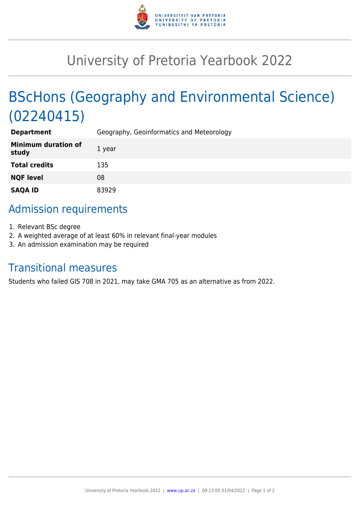

## University of Pretoria Yearbook 2022

# BScHons (Geography and Environmental Science) (02240415)

| <b>Department</b>                   | Geography, Geoinformatics and Meteorology |
|-------------------------------------|-------------------------------------------|
| <b>Minimum duration of</b><br>study | 1 year                                    |
| <b>Total credits</b>                | 135                                       |
| <b>NQF level</b>                    | 08                                        |
| <b>SAQA ID</b>                      | 83929                                     |

## Admission requirements

- 1. Relevant BSc degree
- 2. A weighted average of at least 60% in relevant final-year modules
- 3. An admission examination may be required

### Transitional measures

Students who failed GIS 708 in 2021, may take GMA 705 as an alternative as from 2022.